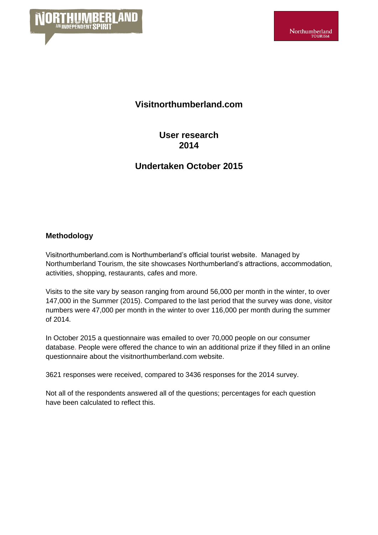

## **Visitnorthumberland.com**

**User research 2014**

# **Undertaken October 2015**

### **Methodology**

Visitnorthumberland.com is Northumberland's official tourist website. Managed by Northumberland Tourism, the site showcases Northumberland's attractions, accommodation, activities, shopping, restaurants, cafes and more.

Visits to the site vary by season ranging from around 56,000 per month in the winter, to over 147,000 in the Summer (2015). Compared to the last period that the survey was done, visitor numbers were 47,000 per month in the winter to over 116,000 per month during the summer of 2014.

In October 2015 a questionnaire was emailed to over 70,000 people on our consumer database. People were offered the chance to win an additional prize if they filled in an online questionnaire about the visitnorthumberland.com website.

3621 responses were received, compared to 3436 responses for the 2014 survey.

Not all of the respondents answered all of the questions; percentages for each question have been calculated to reflect this.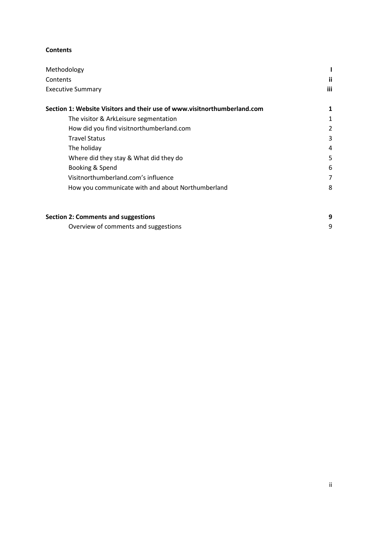#### **Contents**

| Methodology                                                              |    |  |  |  |
|--------------------------------------------------------------------------|----|--|--|--|
| Contents                                                                 | ij |  |  |  |
| <b>Executive Summary</b>                                                 |    |  |  |  |
| Section 1: Website Visitors and their use of www.visitnorthumberland.com |    |  |  |  |
| The visitor & ArkLeisure segmentation                                    |    |  |  |  |
| How did you find visitnorthumberland.com                                 | 2  |  |  |  |
| <b>Travel Status</b>                                                     | 3  |  |  |  |
| The holiday                                                              | 4  |  |  |  |
| Where did they stay & What did they do                                   | 5  |  |  |  |
| Booking & Spend                                                          | 6  |  |  |  |
| Visitnorthumberland.com's influence                                      |    |  |  |  |
| How you communicate with and about Northumberland                        | 8  |  |  |  |

| <b>Section 2: Comments and suggestions</b> |  |
|--------------------------------------------|--|
| Overview of comments and suggestions       |  |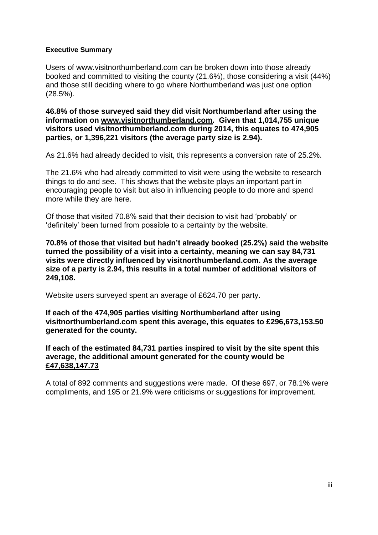### **Executive Summary**

Users of [www.visitnorthumberland.com](http://www.visitnorthumberland.com/) can be broken down into those already booked and committed to visiting the county (21.6%), those considering a visit (44%) and those still deciding where to go where Northumberland was just one option (28.5%).

**46.8% of those surveyed said they did visit Northumberland after using the information on [www.visitnorthumberland.com.](http://www.visitnorthumberland.com/) Given that 1,014,755 unique visitors used visitnorthumberland.com during 2014, this equates to 474,905 parties, or 1,396,221 visitors (the average party size is 2.94).**

As 21.6% had already decided to visit, this represents a conversion rate of 25.2%.

The 21.6% who had already committed to visit were using the website to research things to do and see. This shows that the website plays an important part in encouraging people to visit but also in influencing people to do more and spend more while they are here.

Of those that visited 70.8% said that their decision to visit had 'probably' or 'definitely' been turned from possible to a certainty by the website.

**70.8% of those that visited but hadn't already booked (25.2%) said the website turned the possibility of a visit into a certainty, meaning we can say 84,731 visits were directly influenced by visitnorthumberland.com. As the average size of a party is 2.94, this results in a total number of additional visitors of 249,108.**

Website users surveyed spent an average of £624.70 per party.

**If each of the 474,905 parties visiting Northumberland after using visitnorthumberland.com spent this average, this equates to £296,673,153.50 generated for the county.**

**If each of the estimated 84,731 parties inspired to visit by the site spent this average, the additional amount generated for the county would be £47,638,147.73**

A total of 892 comments and suggestions were made. Of these 697, or 78.1% were compliments, and 195 or 21.9% were criticisms or suggestions for improvement.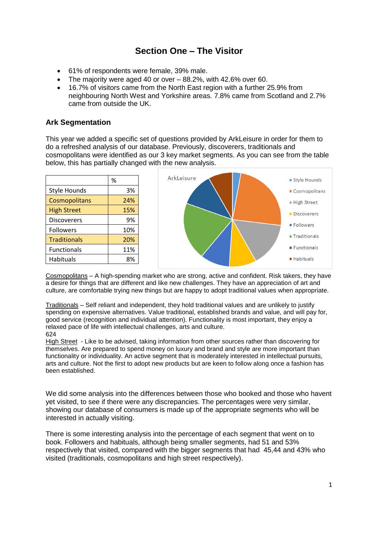# **Section One – The Visitor**

- 61% of respondents were female, 39% male.
- The majority were aged 40 or over 88.2%, with 42.6% over 60.
- 16.7% of visitors came from the North East region with a further 25.9% from neighbouring North West and Yorkshire areas. 7.8% came from Scotland and 2.7% came from outside the UK.

### **Ark Segmentation**

This year we added a specific set of questions provided by ArkLeisure in order for them to do a refreshed analysis of our database. Previously, discoverers, traditionals and cosmopolitans were identified as our 3 key market segments. As you can see from the table below, this has partially changed with the new analysis.



Cosmopolitans – A high-spending market who are strong, active and confident. Risk takers, they have a desire for things that are different and like new challenges. They have an appreciation of art and culture, are comfortable trying new things but are happy to adopt traditional values when appropriate.

Traditionals – Self reliant and independent, they hold traditional values and are unlikely to justify spending on expensive alternatives. Value traditional, established brands and value, and will pay for, good service (recognition and individual attention). Functionality is most important, they enjoy a relaxed pace of life with intellectual challenges, arts and culture. 624

High Street - Like to be advised, taking information from other sources rather than discovering for themselves. Are prepared to spend money on luxury and brand and style are more important than functionality or individuality. An active segment that is moderately interested in intellectual pursuits, arts and culture. Not the first to adopt new products but are keen to follow along once a fashion has been established.

We did some analysis into the differences between those who booked and those who havent yet visited, to see if there were any discrepancies. The percentages were very similar, showing our database of consumers is made up of the appropriate segments who will be interested in actually visiting.

There is some interesting analysis into the percentage of each segment that went on to book. Followers and habituals, although being smaller segments, had 51 and 53% respectively that visited, compared with the bigger segments that had 45,44 and 43% who visited (traditionals, cosmopolitans and high street respectively).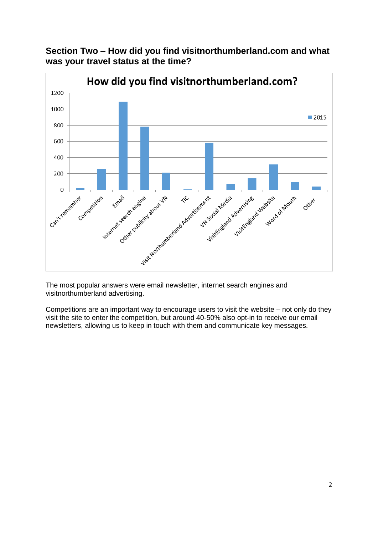**Section Two – How did you find visitnorthumberland.com and what was your travel status at the time?**



The most popular answers were email newsletter, internet search engines and visitnorthumberland advertising.

Competitions are an important way to encourage users to visit the website – not only do they visit the site to enter the competition, but around 40-50% also opt-in to receive our email newsletters, allowing us to keep in touch with them and communicate key messages.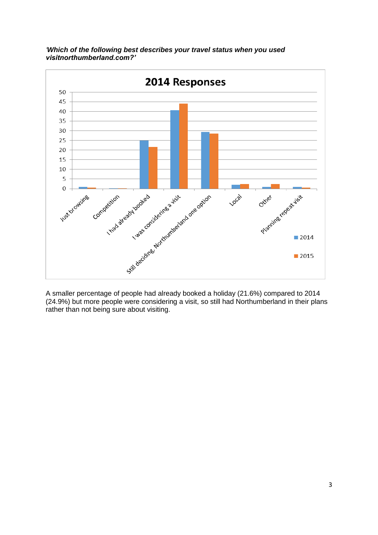

*'Which of the following best describes your travel status when you used visitnorthumberland.com?'*

A smaller percentage of people had already booked a holiday (21.6%) compared to 2014 (24.9%) but more people were considering a visit, so still had Northumberland in their plans rather than not being sure about visiting.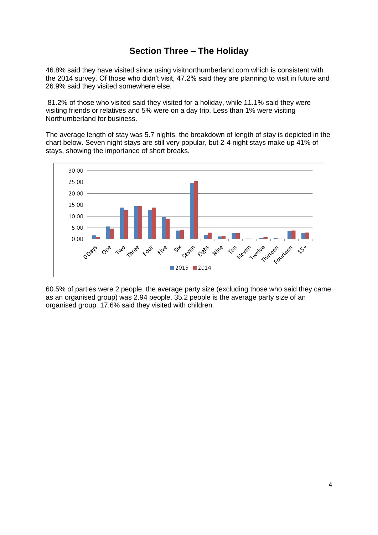# **Section Three – The Holiday**

46.8% said they have visited since using visitnorthumberland.com which is consistent with the 2014 survey. Of those who didn't visit, 47.2% said they are planning to visit in future and 26.9% said they visited somewhere else.

81.2% of those who visited said they visited for a holiday, while 11.1% said they were visiting friends or relatives and 5% were on a day trip. Less than 1% were visiting Northumberland for business.

The average length of stay was 5.7 nights, the breakdown of length of stay is depicted in the chart below. Seven night stays are still very popular, but 2-4 night stays make up 41% of stays, showing the importance of short breaks.



60.5% of parties were 2 people, the average party size (excluding those who said they came as an organised group) was 2.94 people. 35.2 people is the average party size of an organised group. 17.6% said they visited with children.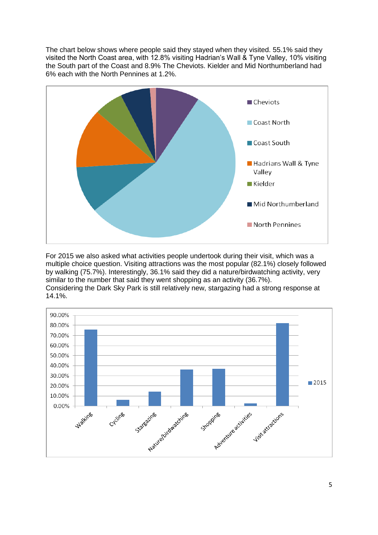The chart below shows where people said they stayed when they visited. 55.1% said they visited the North Coast area, with 12.8% visiting Hadrian's Wall & Tyne Valley, 10% visiting the South part of the Coast and 8.9% The Cheviots. Kielder and Mid Northumberland had 6% each with the North Pennines at 1.2%.



For 2015 we also asked what activities people undertook during their visit, which was a multiple choice question. Visiting attractions was the most popular (82.1%) closely followed by walking (75.7%). Interestingly, 36.1% said they did a nature/birdwatching activity, very similar to the number that said they went shopping as an activity (36.7%). Considering the Dark Sky Park is still relatively new, stargazing had a strong response at 14.1%.

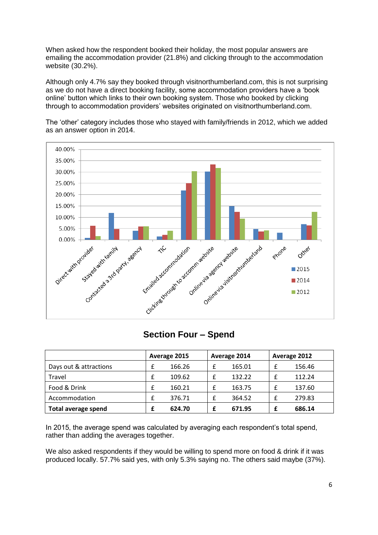When asked how the respondent booked their holiday, the most popular answers are emailing the accommodation provider (21.8%) and clicking through to the accommodation website (30.2%).

Although only 4.7% say they booked through visitnorthumberland.com, this is not surprising as we do not have a direct booking facility, some accommodation providers have a 'book online' button which links to their own booking system. Those who booked by clicking through to accommodation providers' websites originated on visitnorthumberland.com.





### **Section Four – Spend**

|                            | Average 2015 |        | Average 2014 |        | Average 2012 |  |
|----------------------------|--------------|--------|--------------|--------|--------------|--|
| Days out & attractions     |              | 166.26 |              | 165.01 | 156.46       |  |
| Travel                     | f            | 109.62 |              | 132.22 | 112.24       |  |
| Food & Drink               | f            | 160.21 |              | 163.75 | 137.60       |  |
| Accommodation              |              | 376.71 |              | 364.52 | 279.83       |  |
| <b>Total average spend</b> |              | 624.70 |              | 671.95 | 686.14       |  |

In 2015, the average spend was calculated by averaging each respondent's total spend, rather than adding the averages together.

We also asked respondents if they would be willing to spend more on food & drink if it was produced locally. 57.7% said yes, with only 5.3% saying no. The others said maybe (37%).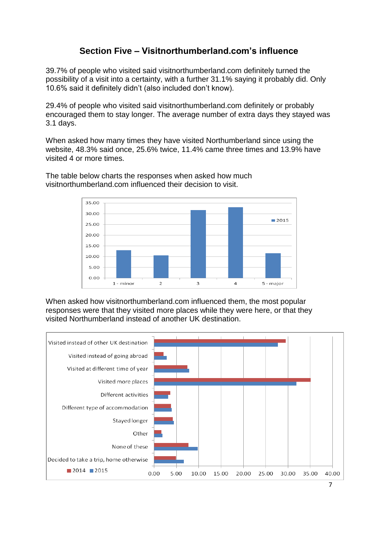# **Section Five – Visitnorthumberland.com's influence**

39.7% of people who visited said visitnorthumberland.com definitely turned the possibility of a visit into a certainty, with a further 31.1% saying it probably did. Only 10.6% said it definitely didn't (also included don't know).

29.4% of people who visited said visitnorthumberland.com definitely or probably encouraged them to stay longer. The average number of extra days they stayed was 3.1 days.

When asked how many times they have visited Northumberland since using the website, 48.3% said once, 25.6% twice, 11.4% came three times and 13.9% have visited 4 or more times.



The table below charts the responses when asked how much visitnorthumberland.com influenced their decision to visit.

When asked how visitnorthumberland.com influenced them, the most popular responses were that they visited more places while they were here, or that they visited Northumberland instead of another UK destination.

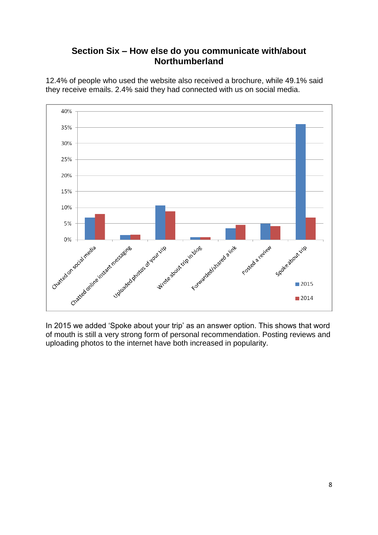## **Section Six – How else do you communicate with/about Northumberland**



12.4% of people who used the website also received a brochure, while 49.1% said they receive emails. 2.4% said they had connected with us on social media.

In 2015 we added 'Spoke about your trip' as an answer option. This shows that word of mouth is still a very strong form of personal recommendation. Posting reviews and uploading photos to the internet have both increased in popularity.